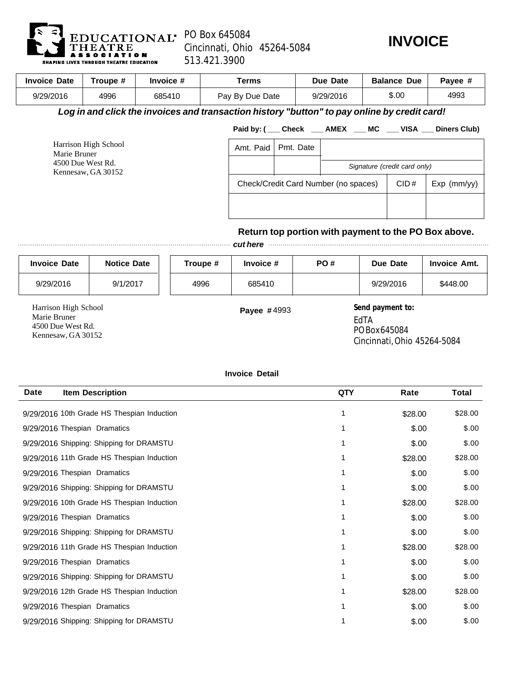

## PO Box 645084 Cincinnati, Ohio 45264-5084 513.421.3900



| <b>Invoice Date</b>                                                             | Troupe # | Invoice #                                                                                    | <b>Terms</b>    |                                      |  | Due Date  |           | <b>Balance Due</b> |                              | Payee #                                                           |
|---------------------------------------------------------------------------------|----------|----------------------------------------------------------------------------------------------|-----------------|--------------------------------------|--|-----------|-----------|--------------------|------------------------------|-------------------------------------------------------------------|
| 9/29/2016                                                                       | 4996     | 685410                                                                                       | Pay By Due Date |                                      |  |           | 9/29/2016 |                    | \$.00                        | 4993                                                              |
|                                                                                 |          | Log in and click the invoices and transaction history "button" to pay online by credit card! |                 |                                      |  |           |           |                    |                              |                                                                   |
|                                                                                 |          |                                                                                              |                 |                                      |  |           |           |                    |                              | Paid by: ( ___ Check ____ AMEX ____ MC ____ VISA ___ Diners Club) |
| Harrison High School<br>Marie Bruner<br>4500 Due West Rd.<br>Kennesaw, GA 30152 |          |                                                                                              |                 | Amt. Paid                            |  | Pmt. Date |           |                    |                              |                                                                   |
|                                                                                 |          |                                                                                              |                 |                                      |  |           |           |                    | Signature (credit card only) |                                                                   |
|                                                                                 |          |                                                                                              |                 | Check/Credit Card Number (no spaces) |  |           |           |                    | CID#                         | Exp (mm/yy)                                                       |
|                                                                                 |          |                                                                                              |                 |                                      |  |           |           |                    |                              |                                                                   |
|                                                                                 |          |                                                                                              |                 |                                      |  |           |           |                    |                              |                                                                   |
|                                                                                 |          |                                                                                              |                 |                                      |  |           |           |                    |                              | Return top portion with payment to the PO Box above.              |
|                                                                                 |          |                                                                                              |                 | cut here                             |  |           |           |                    |                              |                                                                   |

| <b>Invoice Date</b>                                                             | <b>Notice Date</b> | Troupe # | Invoice #          | PO# | Due Date                                                                                                                | <b>Invoice Amt.</b> |
|---------------------------------------------------------------------------------|--------------------|----------|--------------------|-----|-------------------------------------------------------------------------------------------------------------------------|---------------------|
| 9/29/2016                                                                       | 9/1/2017           | 4996     | 685410             |     | 9/29/2016                                                                                                               | \$448.00            |
| Harrison High School<br>Marie Bruner<br>4500 Due West Rd.<br>Kennesaw, GA 30152 |                    |          | <b>Payee #4993</b> |     | Send payment to:<br>EdTA<br>PO Box 645084<br>$\Omega$ , $\Omega$ , $\Omega$ , $\Omega$ , $\Omega$ , $\Omega$ , $\Omega$ |                     |

Cincinnati, Ohio 45264-5084

## **Invoice Detail**

| <b>Date</b><br><b>Item Description</b>     | QTY | Rate    | Total   |
|--------------------------------------------|-----|---------|---------|
| 9/29/2016 10th Grade HS Thespian Induction | 1   | \$28.00 | \$28.00 |
| 9/29/2016 Thespian Dramatics               | 1   | \$.00   | \$.00   |
| 9/29/2016 Shipping: Shipping for DRAMSTU   |     | \$.00   | \$.00   |
| 9/29/2016 11th Grade HS Thespian Induction |     | \$28.00 | \$28.00 |
| 9/29/2016 Thespian Dramatics               |     | \$.00   | \$.00   |
| 9/29/2016 Shipping: Shipping for DRAMSTU   | 1   | \$.00   | \$.00   |
| 9/29/2016 10th Grade HS Thespian Induction |     | \$28.00 | \$28.00 |
| 9/29/2016 Thespian Dramatics               |     | \$.00   | \$.00   |
| 9/29/2016 Shipping: Shipping for DRAMSTU   |     | \$.00   | \$.00   |
| 9/29/2016 11th Grade HS Thespian Induction |     | \$28.00 | \$28.00 |
| 9/29/2016 Thespian Dramatics               |     | \$.00   | \$.00   |
| 9/29/2016 Shipping: Shipping for DRAMSTU   |     | \$.00   | \$.00   |
| 9/29/2016 12th Grade HS Thespian Induction |     | \$28.00 | \$28.00 |
| 9/29/2016 Thespian Dramatics               |     | \$.00   | \$.00   |
| 9/29/2016 Shipping: Shipping for DRAMSTU   |     | \$.00   | \$.00   |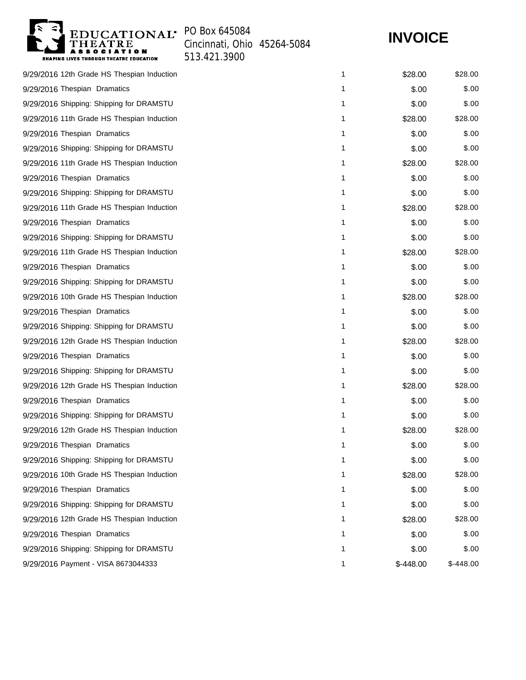

Cincinnati, Ohio 45264-5084 513.421.3900

## **INVOICE**

| 9/29/2016 12th Grade HS Thespian Induction | 1 | \$28.00   | \$28.00    |
|--------------------------------------------|---|-----------|------------|
| 9/29/2016 Thespian Dramatics               | 1 | \$.00     | \$.00      |
| 9/29/2016 Shipping: Shipping for DRAMSTU   | 1 | \$.00     | \$.00      |
| 9/29/2016 11th Grade HS Thespian Induction | 1 | \$28.00   | \$28.00    |
| 9/29/2016 Thespian Dramatics               | 1 | \$.00     | \$.00      |
| 9/29/2016 Shipping: Shipping for DRAMSTU   | 1 | \$.00     | \$.00      |
| 9/29/2016 11th Grade HS Thespian Induction | 1 | \$28.00   | \$28.00    |
| 9/29/2016 Thespian Dramatics               | 1 | \$.00     | \$.00      |
| 9/29/2016 Shipping: Shipping for DRAMSTU   | 1 | \$.00     | \$.00      |
| 9/29/2016 11th Grade HS Thespian Induction | 1 | \$28.00   | \$28.00    |
| 9/29/2016 Thespian Dramatics               | 1 | \$.00     | \$.00      |
| 9/29/2016 Shipping: Shipping for DRAMSTU   | 1 | \$.00     | \$.00      |
| 9/29/2016 11th Grade HS Thespian Induction | 1 | \$28.00   | \$28.00    |
| 9/29/2016 Thespian Dramatics               | 1 | \$.00     | \$.00      |
| 9/29/2016 Shipping: Shipping for DRAMSTU   | 1 | \$.00     | \$.00      |
| 9/29/2016 10th Grade HS Thespian Induction | 1 | \$28.00   | \$28.00    |
| 9/29/2016 Thespian Dramatics               | 1 | \$.00     | \$.00      |
| 9/29/2016 Shipping: Shipping for DRAMSTU   | 1 | \$.00     | \$.00      |
| 9/29/2016 12th Grade HS Thespian Induction | 1 | \$28.00   | \$28.00    |
| 9/29/2016 Thespian Dramatics               | 1 | \$.00     | \$.00      |
| 9/29/2016 Shipping: Shipping for DRAMSTU   | 1 | \$.00     | \$.00      |
| 9/29/2016 12th Grade HS Thespian Induction | 1 | \$28.00   | \$28.00    |
| 9/29/2016 Thespian Dramatics               | 1 | \$.00     | \$.00      |
| 9/29/2016 Shipping: Shipping for DRAMSTU   | 1 | \$.00     | \$.00      |
| 9/29/2016 12th Grade HS Thespian Induction | 1 | \$28.00   | \$28.00    |
| 9/29/2016 Thespian Dramatics               | 1 | \$.00     | \$.00      |
| 9/29/2016 Shipping: Shipping for DRAMSTU   | 1 | \$.00     | \$.00      |
| 9/29/2016 10th Grade HS Thespian Induction | 1 | \$28.00   | \$28.00    |
| 9/29/2016 Thespian Dramatics               | 1 | \$.00     | \$.00      |
| 9/29/2016 Shipping: Shipping for DRAMSTU   | 1 | \$.00     | \$.00      |
| 9/29/2016 12th Grade HS Thespian Induction | 1 | \$28.00   | \$28.00    |
| 9/29/2016 Thespian Dramatics               | 1 | \$.00     | \$.00      |
| 9/29/2016 Shipping: Shipping for DRAMSTU   | 1 | \$.00     | \$.00      |
| 9/29/2016 Payment - VISA 8673044333        | 1 | \$-448.00 | $$-448.00$ |